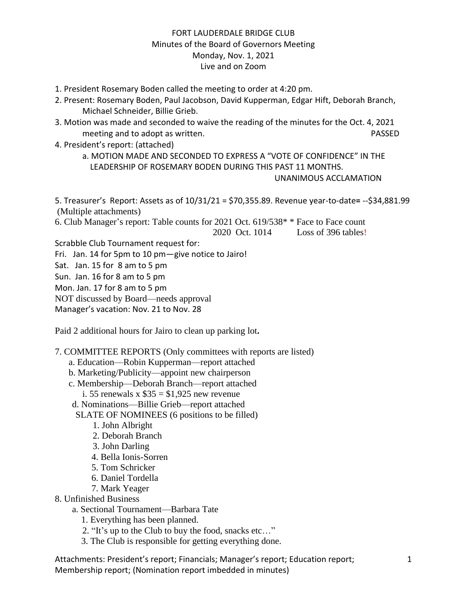# FORT LAUDERDALE BRIDGE CLUB Minutes of the Board of Governors Meeting Monday, Nov. 1, 2021 Live and on Zoom

- 1. President Rosemary Boden called the meeting to order at 4:20 pm.
- 2. Present: Rosemary Boden, Paul Jacobson, David Kupperman, Edgar Hift, Deborah Branch, Michael Schneider, Billie Grieb.
- 3. Motion was made and seconded to waive the reading of the minutes for the Oct. 4, 2021 meeting and to adopt as written. The same state of the set of the PASSED passed on the PASSED
- 4. President's report: (attached)

a. MOTION MADE AND SECONDED TO EXPRESS A "VOTE OF CONFIDENCE" IN THE LEADERSHIP OF ROSEMARY BODEN DURING THIS PAST 11 MONTHS.

```
 UNANIMOUS ACCLAMATION
```
5. Treasurer's Report: Assets as of 10/31/21 = \$70,355.89. Revenue year-to-date**=** --\$34,881.99 (Multiple attachments)

6. Club Manager's report: Table counts for 2021 Oct. 619/538\* \* Face to Face count 2020 Oct. 1014 Loss of 396 tables!

Scrabble Club Tournament request for:

Fri. Jan. 14 for 5pm to 10 pm—give notice to Jairo!

Sat. Jan. 15 for 8 am to 5 pm

Sun. Jan. 16 for 8 am to 5 pm

Mon. Jan. 17 for 8 am to 5 pm

NOT discussed by Board—needs approval

Manager's vacation: Nov. 21 to Nov. 28

Paid 2 additional hours for Jairo to clean up parking lot**.** 

7. COMMITTEE REPORTS (Only committees with reports are listed)

- a. Education—Robin Kupperman—report attached
- b. Marketing/Publicity—appoint new chairperson
- c. Membership—Deborah Branch—report attached
	- i. 55 renewals x  $$35 = $1,925$  new revenue
- d. Nominations—Billie Grieb—report attached

SLATE OF NOMINEES (6 positions to be filled)

- 1. John Albright
- 2. Deborah Branch
- 3. John Darling
- 4. Bella Ionis-Sorren
- 5. Tom Schricker
- 6. Daniel Tordella
- 7. Mark Yeager
- 8. Unfinished Business
	- a. Sectional Tournament—Barbara Tate
		- 1. Everything has been planned.
		- 2. "It's up to the Club to buy the food, snacks etc…"
		- 3. The Club is responsible for getting everything done.

Attachments: President's report; Financials; Manager's report; Education report; Membership report; (Nomination report imbedded in minutes)